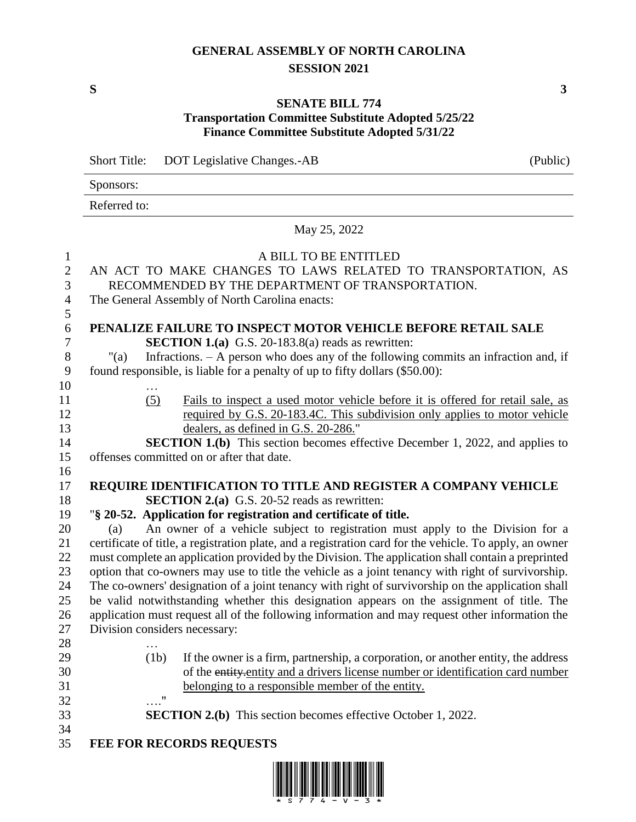## **GENERAL ASSEMBLY OF NORTH CAROLINA SESSION 2021**

**S 3**

## **SENATE BILL 774 Transportation Committee Substitute Adopted 5/25/22 Finance Committee Substitute Adopted 5/31/22**

Short Title: DOT Legislative Changes.-AB (Public)

Sponsors:

Referred to:

May 25, 2022

| $\mathbf{1}$     | A BILL TO BE ENTITLED                                                                                   |  |  |
|------------------|---------------------------------------------------------------------------------------------------------|--|--|
| $\sqrt{2}$       | AN ACT TO MAKE CHANGES TO LAWS RELATED TO TRANSPORTATION, AS                                            |  |  |
| 3                | RECOMMENDED BY THE DEPARTMENT OF TRANSPORTATION.                                                        |  |  |
| $\overline{4}$   | The General Assembly of North Carolina enacts:                                                          |  |  |
| 5                |                                                                                                         |  |  |
| 6                | PENALIZE FAILURE TO INSPECT MOTOR VEHICLE BEFORE RETAIL SALE                                            |  |  |
| $\boldsymbol{7}$ | <b>SECTION 1.(a)</b> G.S. 20-183.8(a) reads as rewritten:                                               |  |  |
| $8\,$            | Infractions. $- A$ person who does any of the following commits an infraction and, if<br>" $(a)$        |  |  |
| 9                | found responsible, is liable for a penalty of up to fifty dollars (\$50.00):                            |  |  |
| 10               |                                                                                                         |  |  |
| 11               | (5)<br>Fails to inspect a used motor vehicle before it is offered for retail sale, as                   |  |  |
| 12               | required by G.S. 20-183.4C. This subdivision only applies to motor vehicle                              |  |  |
| 13               | dealers, as defined in G.S. 20-286."                                                                    |  |  |
| 14               | <b>SECTION 1.(b)</b> This section becomes effective December 1, 2022, and applies to                    |  |  |
| 15               | offenses committed on or after that date.                                                               |  |  |
| 16               |                                                                                                         |  |  |
| 17               | REQUIRE IDENTIFICATION TO TITLE AND REGISTER A COMPANY VEHICLE                                          |  |  |
| 18               | <b>SECTION 2.(a)</b> G.S. 20-52 reads as rewritten:                                                     |  |  |
| 19               | "§ 20-52. Application for registration and certificate of title.                                        |  |  |
| 20               | An owner of a vehicle subject to registration must apply to the Division for a<br>(a)                   |  |  |
| 21               | certificate of title, a registration plate, and a registration card for the vehicle. To apply, an owner |  |  |
| 22               | must complete an application provided by the Division. The application shall contain a preprinted       |  |  |
| 23               | option that co-owners may use to title the vehicle as a joint tenancy with right of survivorship.       |  |  |
| 24               | The co-owners' designation of a joint tenancy with right of survivorship on the application shall       |  |  |
| 25               | be valid notwithstanding whether this designation appears on the assignment of title. The               |  |  |
| 26               | application must request all of the following information and may request other information the         |  |  |
| 27               | Division considers necessary:                                                                           |  |  |
| 28               |                                                                                                         |  |  |
| 29               | If the owner is a firm, partnership, a corporation, or another entity, the address<br>(1b)              |  |  |
| 30               | of the entity-entity and a drivers license number or identification card number                         |  |  |
| 31               | belonging to a responsible member of the entity.                                                        |  |  |
| 32               |                                                                                                         |  |  |
| 33               | <b>SECTION 2.(b)</b> This section becomes effective October 1, 2022.                                    |  |  |
| 34               |                                                                                                         |  |  |
| 35               | <b>FEE FOR RECORDS REQUESTS</b>                                                                         |  |  |

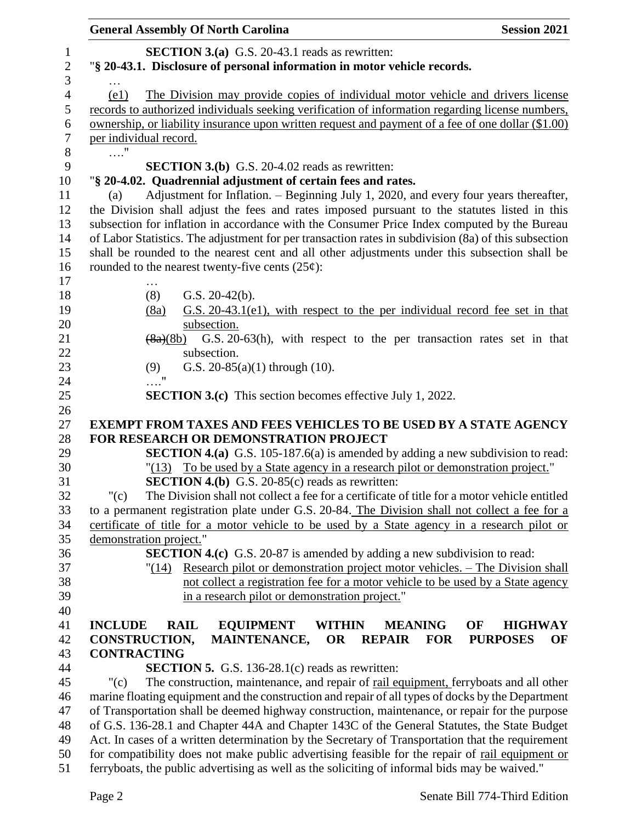|                | <b>General Assembly Of North Carolina</b>                                                                                                                                                             | <b>Session 2021</b>   |
|----------------|-------------------------------------------------------------------------------------------------------------------------------------------------------------------------------------------------------|-----------------------|
| 1              | <b>SECTION 3.(a)</b> G.S. 20-43.1 reads as rewritten:                                                                                                                                                 |                       |
| $\sqrt{2}$     | "§ 20-43.1. Disclosure of personal information in motor vehicle records.                                                                                                                              |                       |
| 3              |                                                                                                                                                                                                       |                       |
| $\overline{4}$ | The Division may provide copies of individual motor vehicle and drivers license<br>(e1)                                                                                                               |                       |
| $\mathfrak s$  | records to authorized individuals seeking verification of information regarding license numbers,                                                                                                      |                       |
| 6              | ownership, or liability insurance upon written request and payment of a fee of one dollar (\$1.00)                                                                                                    |                       |
| $\tau$         | per individual record.                                                                                                                                                                                |                       |
| $8\,$          | $\ldots$ "                                                                                                                                                                                            |                       |
| 9              | <b>SECTION 3.(b)</b> G.S. 20-4.02 reads as rewritten:                                                                                                                                                 |                       |
| 10             | "§ 20-4.02. Quadrennial adjustment of certain fees and rates.                                                                                                                                         |                       |
| 11             | Adjustment for Inflation. – Beginning July 1, 2020, and every four years thereafter,<br>(a)                                                                                                           |                       |
| 12             | the Division shall adjust the fees and rates imposed pursuant to the statutes listed in this                                                                                                          |                       |
| 13             | subsection for inflation in accordance with the Consumer Price Index computed by the Bureau                                                                                                           |                       |
| 14             | of Labor Statistics. The adjustment for per transaction rates in subdivision (8a) of this subsection                                                                                                  |                       |
| 15             | shall be rounded to the nearest cent and all other adjustments under this subsection shall be                                                                                                         |                       |
| 16             | rounded to the nearest twenty-five cents $(25¢)$ :                                                                                                                                                    |                       |
| 17             | .                                                                                                                                                                                                     |                       |
| 18             | G.S. $20-42(b)$ .<br>(8)                                                                                                                                                                              |                       |
| 19             | $G.S. 20-43.1$ (e1), with respect to the per individual record fee set in that<br>(8a)                                                                                                                |                       |
| 20             | subsection.                                                                                                                                                                                           |                       |
| 21<br>22       | G.S. 20-63(h), with respect to the per transaction rates set in that<br>$\left(8a\right)(8b)$<br>subsection.                                                                                          |                       |
| 23             | G.S. $20-85(a)(1)$ through (10).<br>(9)                                                                                                                                                               |                       |
| 24             |                                                                                                                                                                                                       |                       |
| $25\,$         | <b>SECTION 3.(c)</b> This section becomes effective July 1, 2022.                                                                                                                                     |                       |
| 26             |                                                                                                                                                                                                       |                       |
| 27             | <b>EXEMPT FROM TAXES AND FEES VEHICLES TO BE USED BY A STATE AGENCY</b>                                                                                                                               |                       |
| 28             | FOR RESEARCH OR DEMONSTRATION PROJECT                                                                                                                                                                 |                       |
| 29             | <b>SECTION 4.(a)</b> G.S. 105-187.6(a) is amended by adding a new subdivision to read:                                                                                                                |                       |
| 30             | "(13) To be used by a State agency in a research pilot or demonstration project."                                                                                                                     |                       |
| 31             | <b>SECTION 4.(b)</b> G.S. 20-85(c) reads as rewritten:                                                                                                                                                |                       |
| 32             | " $(c)$<br>The Division shall not collect a fee for a certificate of title for a motor vehicle entitled                                                                                               |                       |
| 33             | to a permanent registration plate under G.S. 20-84. The Division shall not collect a fee for a                                                                                                        |                       |
| 34             | certificate of title for a motor vehicle to be used by a State agency in a research pilot or                                                                                                          |                       |
| 35             | demonstration project."                                                                                                                                                                               |                       |
| 36             | <b>SECTION 4.(c)</b> G.S. 20-87 is amended by adding a new subdivision to read:                                                                                                                       |                       |
| 37             | Research pilot or demonstration project motor vehicles. – The Division shall<br>"(14)                                                                                                                 |                       |
| 38             | not collect a registration fee for a motor vehicle to be used by a State agency                                                                                                                       |                       |
| 39             | in a research pilot or demonstration project."                                                                                                                                                        |                       |
| 40             |                                                                                                                                                                                                       |                       |
| 41             | <b>EQUIPMENT</b><br><b>INCLUDE</b><br><b>RAIL</b><br><b>WITHIN</b><br><b>MEANING</b><br>OF                                                                                                            | <b>HIGHWAY</b>        |
| 42             | CONSTRUCTION,<br><b>MAINTENANCE,</b><br><b>OR</b><br><b>REPAIR</b><br><b>FOR</b>                                                                                                                      | <b>PURPOSES</b><br>OF |
| 43             | <b>CONTRACTING</b>                                                                                                                                                                                    |                       |
| 44             | <b>SECTION 5.</b> G.S. 136-28.1 $(c)$ reads as rewritten:                                                                                                                                             |                       |
| 45<br>46       | The construction, maintenance, and repair of rail equipment, ferryboats and all other<br>" $(c)$<br>marine floating equipment and the construction and repair of all types of docks by the Department |                       |
| 47             | of Transportation shall be deemed highway construction, maintenance, or repair for the purpose                                                                                                        |                       |
| 48             | of G.S. 136-28.1 and Chapter 44A and Chapter 143C of the General Statutes, the State Budget                                                                                                           |                       |
| 49             | Act. In cases of a written determination by the Secretary of Transportation that the requirement                                                                                                      |                       |
| 50             | for compatibility does not make public advertising feasible for the repair of rail equipment or                                                                                                       |                       |
| 51             | ferryboats, the public advertising as well as the soliciting of informal bids may be waived."                                                                                                         |                       |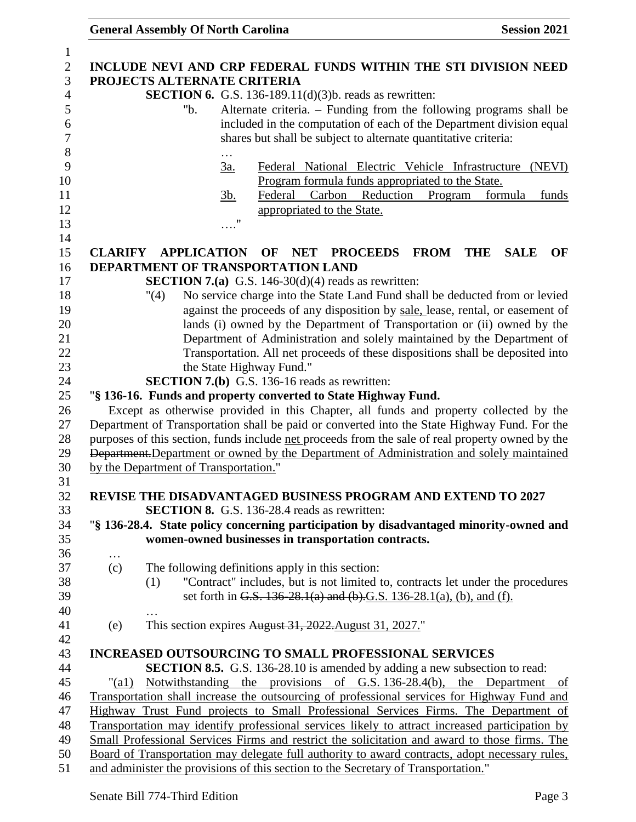| $\mathbf{1}$     |                                                                                                |                                                                                                   |  |  |  |
|------------------|------------------------------------------------------------------------------------------------|---------------------------------------------------------------------------------------------------|--|--|--|
| $\overline{2}$   |                                                                                                | INCLUDE NEVI AND CRP FEDERAL FUNDS WITHIN THE STI DIVISION NEED                                   |  |  |  |
| 3                |                                                                                                | PROJECTS ALTERNATE CRITERIA                                                                       |  |  |  |
| $\overline{4}$   |                                                                                                | <b>SECTION 6.</b> G.S. 136-189.11(d)(3)b. reads as rewritten:                                     |  |  |  |
| 5                |                                                                                                | Alternate criteria. – Funding from the following programs shall be<br>"b.                         |  |  |  |
| 6                |                                                                                                | included in the computation of each of the Department division equal                              |  |  |  |
| $\boldsymbol{7}$ |                                                                                                |                                                                                                   |  |  |  |
|                  |                                                                                                | shares but shall be subject to alternate quantitative criteria:                                   |  |  |  |
| 8                |                                                                                                | .                                                                                                 |  |  |  |
| 9                |                                                                                                | <u>3a.</u><br>Federal National Electric Vehicle Infrastructure (NEVI)                             |  |  |  |
| 10               |                                                                                                | Program formula funds appropriated to the State.                                                  |  |  |  |
| 11               |                                                                                                | Reduction<br>formula<br>Federal<br>Carbon<br>funds<br><u>3b.</u><br>Program                       |  |  |  |
| 12               |                                                                                                | appropriated to the State.                                                                        |  |  |  |
| 13               |                                                                                                | 11                                                                                                |  |  |  |
| 14               |                                                                                                |                                                                                                   |  |  |  |
| 15               | <b>CLARIFY</b>                                                                                 | <b>APPLICATION</b><br><b>NET</b><br><b>PROCEEDS FROM</b><br>OF<br><b>THE</b><br>OF<br><b>SALE</b> |  |  |  |
| 16               |                                                                                                | DEPARTMENT OF TRANSPORTATION LAND                                                                 |  |  |  |
| 17               |                                                                                                | <b>SECTION 7.(a)</b> G.S. 146-30(d)(4) reads as rewritten:                                        |  |  |  |
| 18               |                                                                                                | No service charge into the State Land Fund shall be deducted from or levied<br>"(4)               |  |  |  |
| 19               |                                                                                                | against the proceeds of any disposition by sale, lease, rental, or easement of                    |  |  |  |
|                  |                                                                                                |                                                                                                   |  |  |  |
| 20               |                                                                                                | lands (i) owned by the Department of Transportation or (ii) owned by the                          |  |  |  |
| 21               |                                                                                                | Department of Administration and solely maintained by the Department of                           |  |  |  |
| 22               |                                                                                                | Transportation. All net proceeds of these dispositions shall be deposited into                    |  |  |  |
| 23               |                                                                                                | the State Highway Fund."                                                                          |  |  |  |
| 24               |                                                                                                | <b>SECTION 7.(b)</b> G.S. 136-16 reads as rewritten:                                              |  |  |  |
| 25               |                                                                                                | "§ 136-16. Funds and property converted to State Highway Fund.                                    |  |  |  |
| 26               |                                                                                                | Except as otherwise provided in this Chapter, all funds and property collected by the             |  |  |  |
| 27               |                                                                                                | Department of Transportation shall be paid or converted into the State Highway Fund. For the      |  |  |  |
| 28               |                                                                                                | purposes of this section, funds include net proceeds from the sale of real property owned by the  |  |  |  |
| 29               |                                                                                                | Department. Department or owned by the Department of Administration and solely maintained         |  |  |  |
| 30               |                                                                                                | by the Department of Transportation."                                                             |  |  |  |
| 31               |                                                                                                |                                                                                                   |  |  |  |
| 32               |                                                                                                | REVISE THE DISADVANTAGED BUSINESS PROGRAM AND EXTEND TO 2027                                      |  |  |  |
| 33               |                                                                                                | <b>SECTION 8.</b> G.S. 136-28.4 reads as rewritten:                                               |  |  |  |
| 34               |                                                                                                | "§ 136-28.4. State policy concerning participation by disadvantaged minority-owned and            |  |  |  |
|                  |                                                                                                |                                                                                                   |  |  |  |
| 35               |                                                                                                | women-owned businesses in transportation contracts.                                               |  |  |  |
| 36               | $\cdots$                                                                                       |                                                                                                   |  |  |  |
| 37               | (c)                                                                                            | The following definitions apply in this section:                                                  |  |  |  |
| 38               |                                                                                                | "Contract" includes, but is not limited to, contracts let under the procedures<br>(1)             |  |  |  |
| 39               |                                                                                                | set forth in G.S. 136-28.1(a) and (b).G.S. 136-28.1(a), (b), and (f).                             |  |  |  |
| 40               |                                                                                                |                                                                                                   |  |  |  |
| 41               | (e)                                                                                            | This section expires August 31, 2022. August 31, 2027."                                           |  |  |  |
| 42               |                                                                                                |                                                                                                   |  |  |  |
| 43               |                                                                                                | <b>INCREASED OUTSOURCING TO SMALL PROFESSIONAL SERVICES</b>                                       |  |  |  |
| 44               |                                                                                                | <b>SECTION 8.5.</b> G.S. 136-28.10 is amended by adding a new subsection to read:                 |  |  |  |
| 45               | " $\text{(a1)}$                                                                                | Notwithstanding the provisions of G.S. 136-28.4(b), the Department                                |  |  |  |
|                  |                                                                                                | of                                                                                                |  |  |  |
| 46               | Transportation shall increase the outsourcing of professional services for Highway Fund and    |                                                                                                   |  |  |  |
| 47               | Highway Trust Fund projects to Small Professional Services Firms. The Department of            |                                                                                                   |  |  |  |
| 48               | Transportation may identify professional services likely to attract increased participation by |                                                                                                   |  |  |  |
| 49               | Small Professional Services Firms and restrict the solicitation and award to those firms. The  |                                                                                                   |  |  |  |
| 50               |                                                                                                | Board of Transportation may delegate full authority to award contracts, adopt necessary rules,    |  |  |  |
| 51               | and administer the provisions of this section to the Secretary of Transportation."             |                                                                                                   |  |  |  |